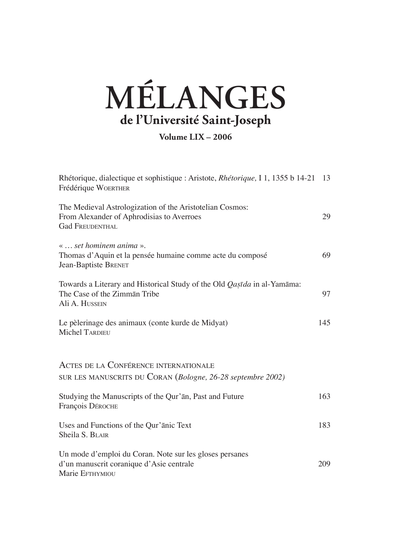## **MÉLANGES de l'Université Saint-Joseph**

**Volume LIX – 2006**

| Rhétorique, dialectique et sophistique : Aristote, <i>Rhétorique</i> , I 1, 1355 b 14-21 13<br>Frédérique WOERTHER               |     |
|----------------------------------------------------------------------------------------------------------------------------------|-----|
| The Medieval Astrologization of the Aristotelian Cosmos:<br>From Alexander of Aphrodisias to Averroes<br><b>Gad FREUDENTHAL</b>  | 29  |
| «  set hominem anima ».<br>Thomas d'Aquin et la pensée humaine comme acte du composé<br>Jean-Baptiste BRENET                     | 69  |
| Towards a Literary and Historical Study of the Old <i>Qastda</i> in al-Yamāma:<br>The Case of the Zimmān Tribe<br>Ali A. HUSSEIN | 97  |
| Le pèlerinage des animaux (conte kurde de Midyat)<br><b>Michel TARDIEU</b>                                                       | 145 |
| ACTES DE LA CONFÉRENCE INTERNATIONALE<br>SUR LES MANUSCRITS DU CORAN (Bologne, 26-28 septembre 2002)                             |     |
| Studying the Manuscripts of the Qur'an, Past and Future<br>François DÉROCHE                                                      | 163 |
| Uses and Functions of the Qur'anic Text<br>Sheila S. BLAIR                                                                       | 183 |
| Un mode d'emploi du Coran. Note sur les gloses persanes<br>d'un manuscrit coranique d'Asie centrale<br>Marie EFTHYMIOU           | 209 |